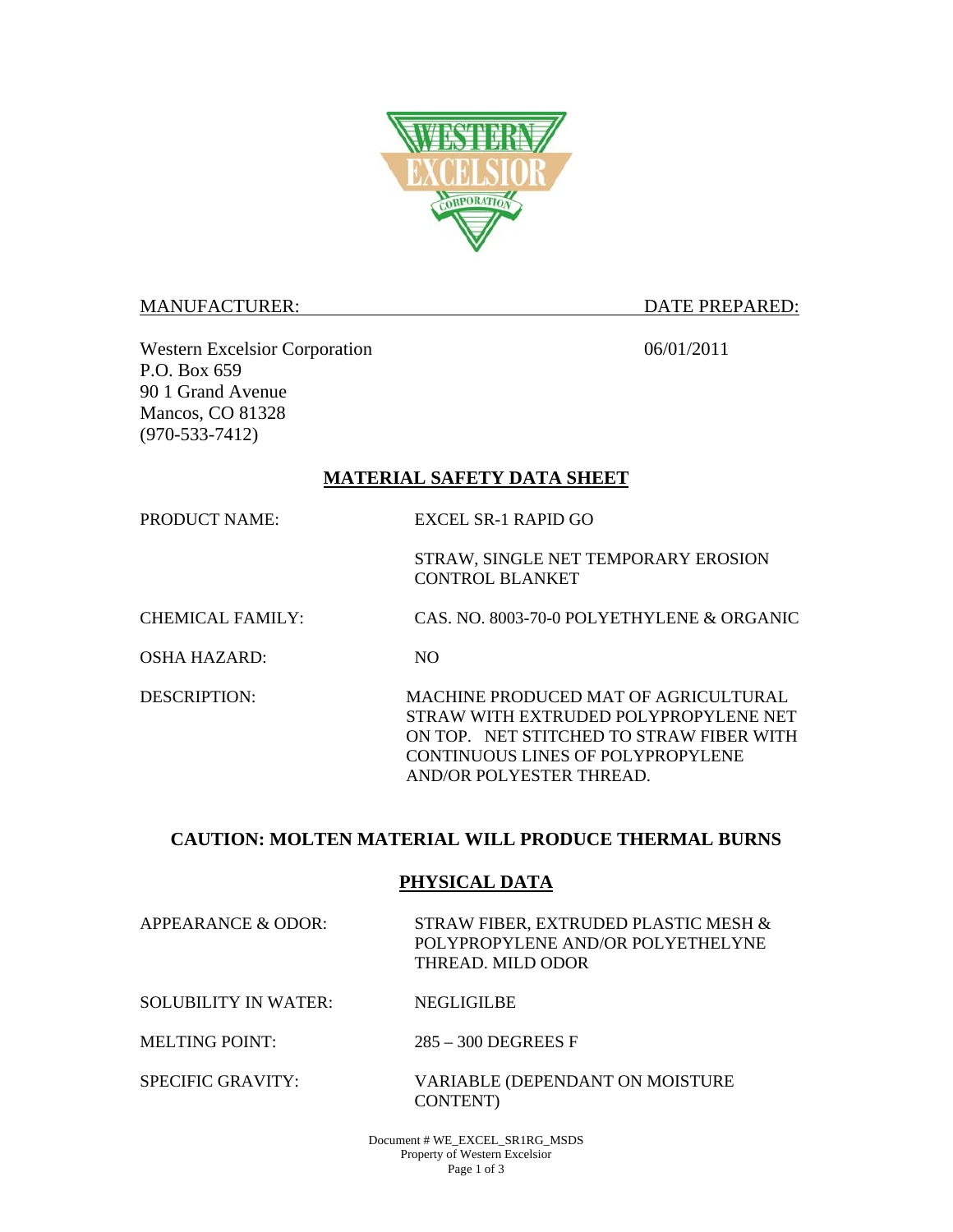

#### MANUFACTURER: DATE PREPARED:

Western Excelsior Corporation 06/01/2011 P.O. Box 659 90 1 Grand Avenue Mancos, CO 81328 (970-533-7412)

### **MATERIAL SAFETY DATA SHEET**

PRODUCT NAME: EXCEL SR-1 RAPID GO

STRAW, SINGLE NET TEMPORARY EROSION CONTROL BLANKET

CHEMICAL FAMILY: CAS. NO. 8003-70-0 POLYETHYLENE & ORGANIC

OSHA HAZARD: NO

DESCRIPTION: MACHINE PRODUCED MAT OF AGRICULTURAL STRAW WITH EXTRUDED POLYPROPYLENE NET ON TOP. NET STITCHED TO STRAW FIBER WITH CONTINUOUS LINES OF POLYPROPYLENE AND/OR POLYESTER THREAD.

# **CAUTION: MOLTEN MATERIAL WILL PRODUCE THERMAL BURNS**

# **PHYSICAL DATA**

APPEARANCE & ODOR: STRAW FIBER, EXTRUDED PLASTIC MESH & POLYPROPYLENE AND/OR POLYETHELYNE THREAD. MILD ODOR

SOLUBILITY IN WATER: NEGLIGILBE

MELTING POINT: 285 – 300 DEGREES F

SPECIFIC GRAVITY: VARIABLE (DEPENDANT ON MOISTURE CONTENT)

> Document # WE\_EXCEL\_SR1RG\_MSDS Property of Western Excelsior Page 1 of 3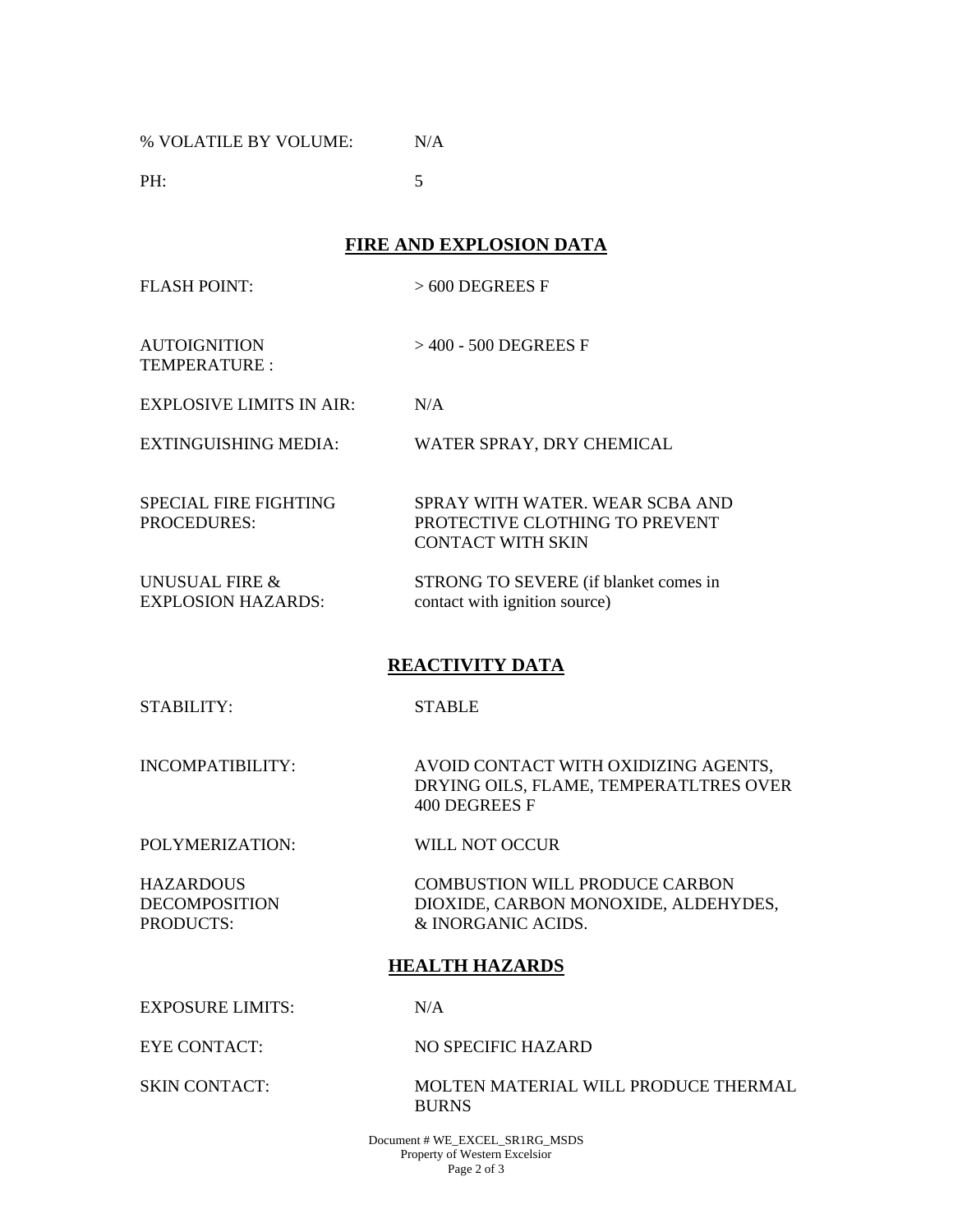% VOLATILE BY VOLUME: N/A

**PH:** 5

**FIRE AND EXPLOSION DATA** 

FLASH POINT: > 600 DEGREES F

AUTOIGNITION TEMPERATURE : > 400 - 500 DEGREES F

EXPLOSIVE LIMITS IN AIR: N/A

EXTINGUISHING MEDIA: WATER SPRAY, DRY CHEMICAL

SPECIAL FIRE FIGHTING PROCEDURES: SPRAY WITH WATER. WEAR SCBA AND PROTECTIVE CLOTHING TO PREVENT CONTACT WITH SKIN

UNUSUAL FIRE & EXPLOSION HAZARDS: STRONG TO SEVERE (if blanket comes in contact with ignition source)

# **REACTIVITY DATA**

STABILITY: STABLE

INCOMPATIBILITY: AVOID CONTACT WITH OXIDIZING AGENTS, DRYING OILS, FLAME, TEMPERATLTRES OVER 400 DEGREES F

POLYMERIZATION: WILL NOT OCCUR

**HAZARDOUS** DECOMPOSITION PRODUCTS:

 COMBUSTION WILL PRODUCE CARBON DIOXIDE, CARBON MONOXIDE, ALDEHYDES, & INORGANIC ACIDS.

# **HEALTH HAZARDS**

EXPOSURE LIMITS: N/A

EYE CONTACT: NO SPECIFIC HAZARD

SKIN CONTACT: MOLTEN MATERIAL WILL PRODUCE THERMAL BURNS

> Document # WE\_EXCEL\_SR1RG\_MSDS Property of Western Excelsior Page 2 of 3